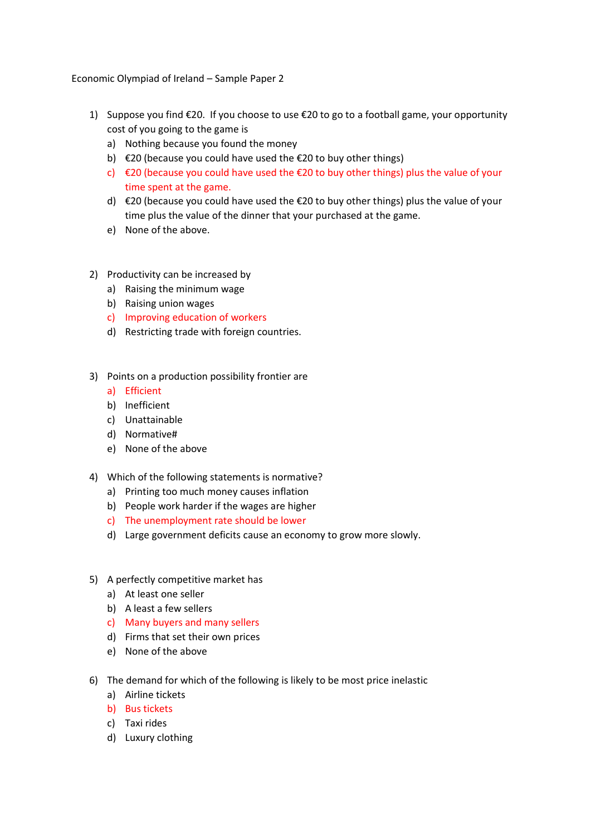Economic Olympiad of Ireland – Sample Paper 2

- 1) Suppose you find €20. If you choose to use €20 to go to a football game, your opportunity cost of you going to the game is
	- a) Nothing because you found the money
	- b)  $\epsilon$ 20 (because you could have used the  $\epsilon$ 20 to buy other things)
	- c)  $\epsilon$ 20 (because you could have used the  $\epsilon$ 20 to buy other things) plus the value of your time spent at the game.
	- d) €20 (because you could have used the €20 to buy other things) plus the value of your time plus the value of the dinner that your purchased at the game.
	- e) None of the above.
- 2) Productivity can be increased by
	- a) Raising the minimum wage
	- b) Raising union wages
	- c) Improving education of workers
	- d) Restricting trade with foreign countries.
- 3) Points on a production possibility frontier are
	- a) Efficient
	- b) Inefficient
	- c) Unattainable
	- d) Normative#
	- e) None of the above
- 4) Which of the following statements is normative?
	- a) Printing too much money causes inflation
	- b) People work harder if the wages are higher
	- c) The unemployment rate should be lower
	- d) Large government deficits cause an economy to grow more slowly.
- 5) A perfectly competitive market has
	- a) At least one seller
	- b) A least a few sellers
	- c) Many buyers and many sellers
	- d) Firms that set their own prices
	- e) None of the above
- 6) The demand for which of the following is likely to be most price inelastic
	- a) Airline tickets
	- b) Bus tickets
	- c) Taxi rides
	- d) Luxury clothing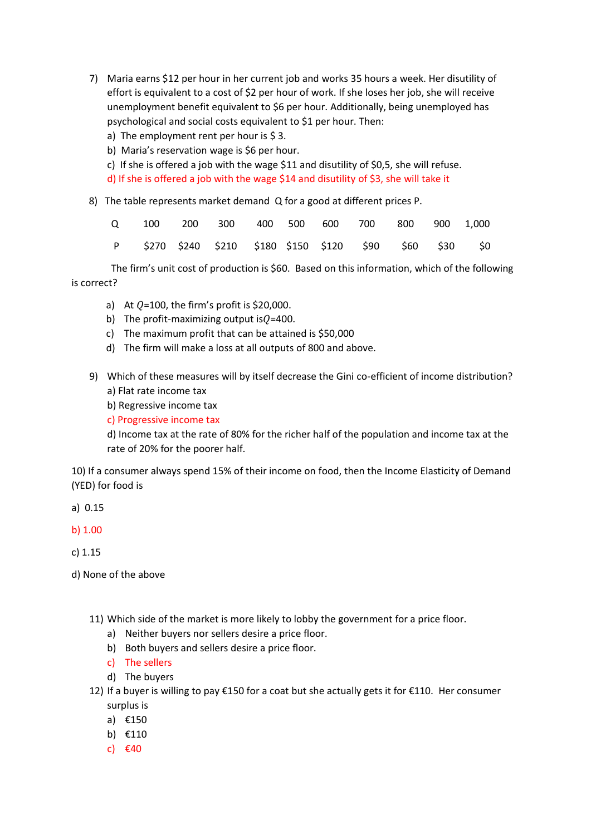- 7) Maria earns \$12 per hour in her current job and works 35 hours a week. Her disutility of effort is equivalent to a cost of \$2 per hour of work. If she loses her job, she will receive unemployment benefit equivalent to \$6 per hour. Additionally, being unemployed has psychological and social costs equivalent to \$1 per hour. Then:
	- a) The employment rent per hour is  $$3.$
	- b) Maria's reservation wage is \$6 per hour.
	- c) If she is offered a job with the wage \$11 and disutility of \$0,5, she will refuse. d) If she is offered a job with the wage \$14 and disutility of \$3, she will take it
- 8) The table represents market demand Q for a good at different prices P.

|  |  |  |  | 0 100 200 300 400 500 600 700 800 900 1.000              |  |  |
|--|--|--|--|----------------------------------------------------------|--|--|
|  |  |  |  | P \$270 \$240 \$210 \$180 \$150 \$120 \$90 \$60 \$30 \$0 |  |  |

 The firm's unit cost of production is \$60. Based on this information, which of the following is correct?

- a) At  $Q=100$ , the firm's profit is \$20,000.
- b) The profit-maximizing output is $Q=400$ .
- c) The maximum profit that can be attained is \$50,000
- d) The firm will make a loss at all outputs of 800 and above.
- 9) Which of these measures will by itself decrease the Gini co-efficient of income distribution? a) Flat rate income tax
	- b) Regressive income tax
	- c) Progressive income tax

d) Income tax at the rate of 80% for the richer half of the population and income tax at the rate of 20% for the poorer half.

10) If a consumer always spend 15% of their income on food, then the Income Elasticity of Demand (YED) for food is

a) 0.15

b) 1.00

c) 1.15

- d) None of the above
	- 11) Which side of the market is more likely to lobby the government for a price floor.
		- a) Neither buyers nor sellers desire a price floor.
		- b) Both buyers and sellers desire a price floor.
		- c) The sellers
		- d) The buyers
	- 12) If a buyer is willing to pay €150 for a coat but she actually gets it for €110. Her consumer surplus is
		- a) €150
		- b) €110
		- c) €40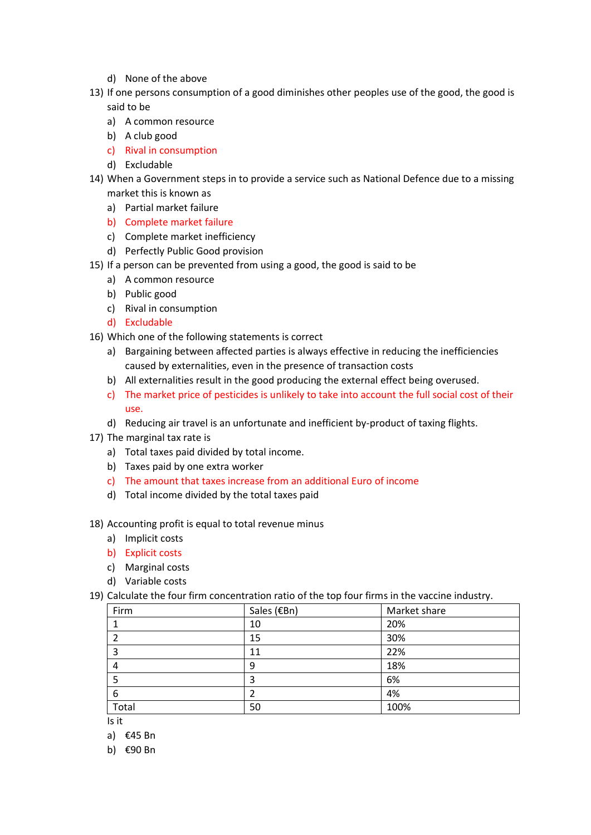- d) None of the above
- 13) If one persons consumption of a good diminishes other peoples use of the good, the good is said to be
	- a) A common resource
	- b) A club good
	- c) Rival in consumption
	- d) Excludable
- 14) When a Government steps in to provide a service such as National Defence due to a missing market this is known as
	- a) Partial market failure
	- b) Complete market failure
	- c) Complete market inefficiency
	- d) Perfectly Public Good provision
- 15) If a person can be prevented from using a good, the good is said to be
	- a) A common resource
	- b) Public good
	- c) Rival in consumption
	- d) Excludable
- 16) Which one of the following statements is correct
	- a) Bargaining between affected parties is always effective in reducing the inefficiencies caused by externalities, even in the presence of transaction costs
	- b) All externalities result in the good producing the external effect being overused.
	- c) The market price of pesticides is unlikely to take into account the full social cost of their use.
	- d) Reducing air travel is an unfortunate and inefficient by-product of taxing flights.
- 17) The marginal tax rate is
	- a) Total taxes paid divided by total income.
	- b) Taxes paid by one extra worker
	- c) The amount that taxes increase from an additional Euro of income
	- d) Total income divided by the total taxes paid

## 18) Accounting profit is equal to total revenue minus

- a) Implicit costs
- b) Explicit costs
- c) Marginal costs
- d) Variable costs
- 19) Calculate the four firm concentration ratio of the top four firms in the vaccine industry.

| Firm  | Sales (€Bn) | Market share |
|-------|-------------|--------------|
|       | 10          | 20%          |
|       | 15          | 30%          |
|       | 11          | 22%          |
|       | 9           | 18%          |
|       | 3           | 6%           |
| 6     | າ           | 4%           |
| Total | 50          | 100%         |

Is it

- a) €45 Bn
- b) €90 Bn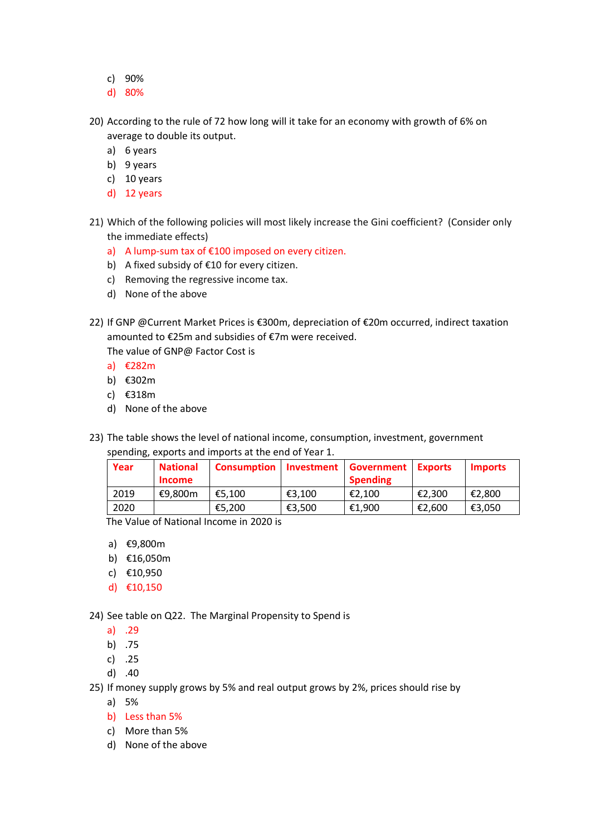- c) 90%
- d) 80%
- 20) According to the rule of 72 how long will it take for an economy with growth of 6% on average to double its output.
	- a) 6 years
	- b) 9 years
	- c) 10 years
	- d) 12 years
- 21) Which of the following policies will most likely increase the Gini coefficient? (Consider only the immediate effects)
	- a) A lump-sum tax of €100 imposed on every citizen.
	- b) A fixed subsidy of €10 for every citizen.
	- c) Removing the regressive income tax.
	- d) None of the above
- 22) If GNP @Current Market Prices is €300m, depreciation of €20m occurred, indirect taxation amounted to €25m and subsidies of €7m were received.

The value of GNP@ Factor Cost is

- a) €282m
- b) €302m
- c) €318m
- d) None of the above
- 23) The table shows the level of national income, consumption, investment, government spending, exports and imports at the end of Year 1.

| Year | <b>National</b> | <b>Consumption</b> | Investment | <b>Government Exports</b> |        | <b>Imports</b> |
|------|-----------------|--------------------|------------|---------------------------|--------|----------------|
|      | <b>Income</b>   |                    |            | <b>Spending</b>           |        |                |
| 2019 | €9.800m         | €5.100             | €3.100     | €2.100                    | €2.300 | €2,800         |
| 2020 |                 | €5,200             | €3.500     | €1.900                    | €2,600 | €3,050         |

The Value of National Income in 2020 is

- a) €9,800m
- b) €16,050m
- c) €10,950
- d) €10,150

24) See table on Q22. The Marginal Propensity to Spend is

- a) .29
- b) .75
- c) .25
- d) .40

25) If money supply grows by 5% and real output grows by 2%, prices should rise by

- a) 5%
- b) Less than 5%
- c) More than 5%
- d) None of the above